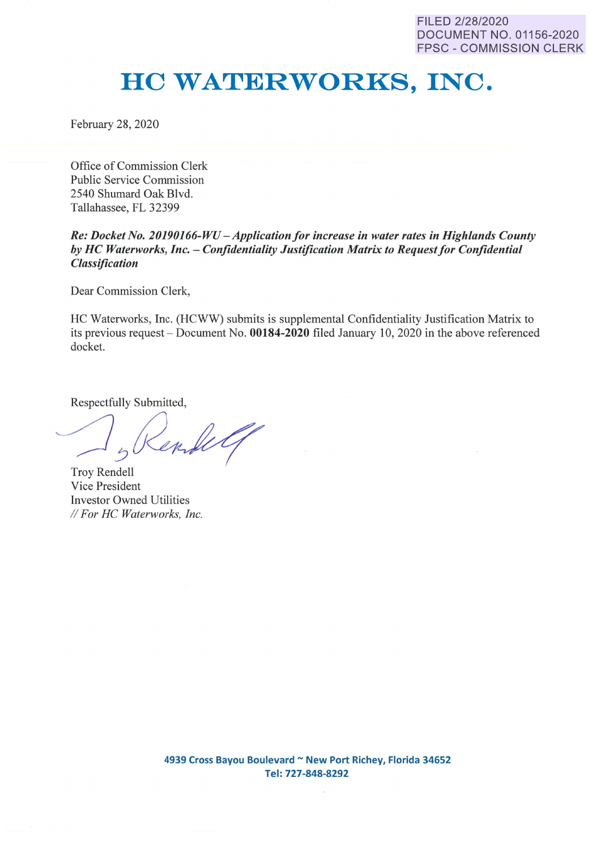FILED 2/28/2020 DOCUMENT NO. 01156-2020 FPSC - COMMISSION CLERK

## **HO WATERWORKS, INC.**

February 28, 2020

Office of Commission Clerk Public Service Commission 2540 Shumard Oak Blvd. Tallahassee, FL 32399

## Re: Docket No. 20190166-WU – Application for increase in water rates in Highlands County by HC Waterworks, Inc. - *Confidentiality Justification Matrix to Request for Confidential Classification*

Dear Commission Clerk,

HC Waterworks, Inc. (HCWW) submits is supplemental Confidentiality Justification Matrix to its previous request - Document No. **00184-2020** filed January 10, 2020 in the above referenced docket.

Respectfully Submitted,

ender

Troy Rendell Vice President Investor Owned Utilities *II For HC Waterworks, Inc.*